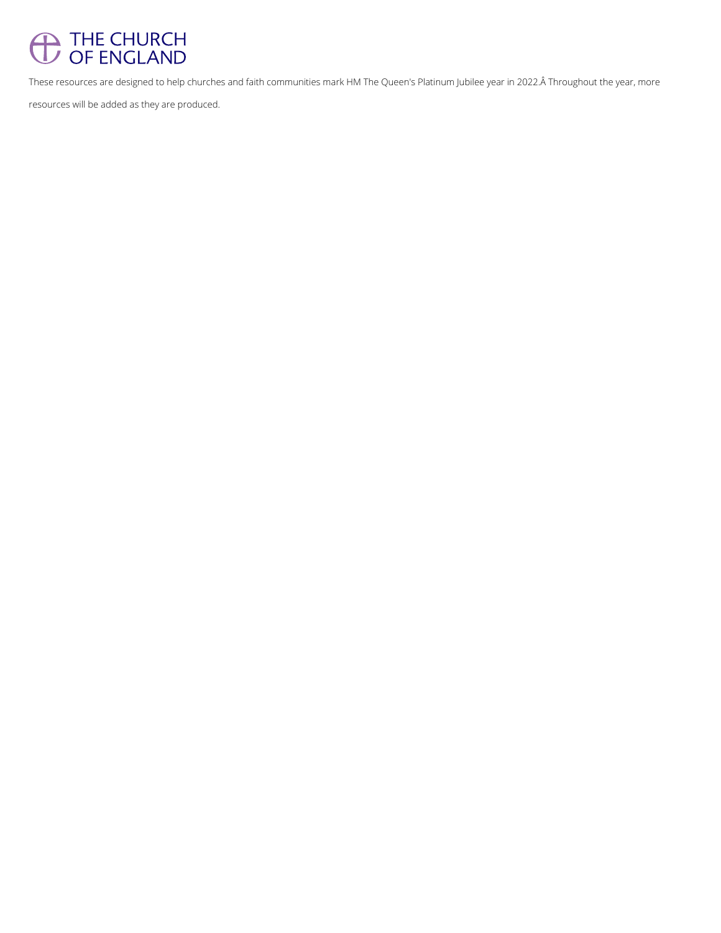# <sup>THE CHURCH</sup><br>
OF ENGLAND

These resources are designed to help churches and faith communities mark HM The Queen's Platinum Jubilee year in 2022. Throughout the year, more

resources will be added as they are produced.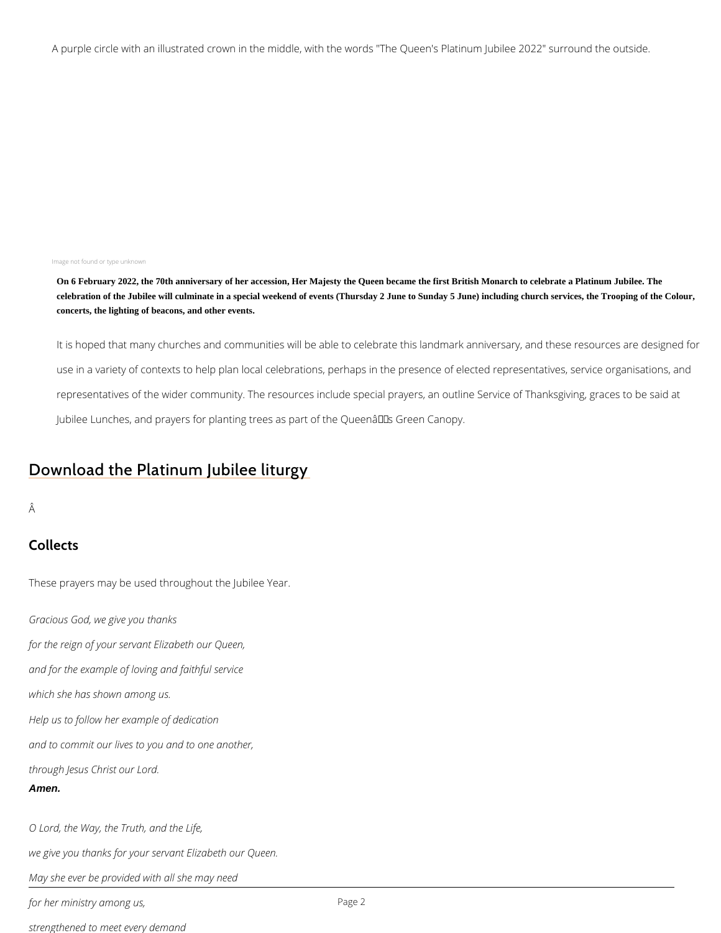A purple circle with an illustrated crown in the middle, with the words "The Queen's Platinum 3022

#### Image not found or type unknown

On 6 February 2022, the 70th anniversary of her accession, Her Majesty the Queen became the first British Monarch to celebrate a Platinum Jubilee. The celebration of the Jubilee will culminate in a special weekend of events (Thursday 2 June to Sunday 5 June) including church services, the Trooping of the Colour, concerts, the lighting of beacons, and other events.

It is hoped that many churches and communities will be able to celebrate this landmark a use in a variety of contexts to help plan local celebrations, perhaps in the presence of e representatives of the wider community. The resources include special prayers, an outlin Jubilee Lunches, and prayers for planting trees as part of the Queen's Green Canopy.

# [Download the Platinum](https://www.churchofengland.org/media/26997) Jubilee liturgy

#### Â

## Collects

These prayers may be used throughout the Jubilee Year.

Gracious God, we give you thanks for the reign of your servant Elizabeth our Queen, and for the example of loving and faithful service

which she has shown among us.

Help us to follow her example of dedication

and to commit our lives to you and to one another,

through Jesus Christ our Lord.

Amen.

O Lord, the Way, the Truth, and the Life,

we give you thanks for your servant Elizabeth our Queen.

Pag<sub>2</sub>e

May she ever be provided with all she may need

for her ministry among us,

strengthened to meet every demand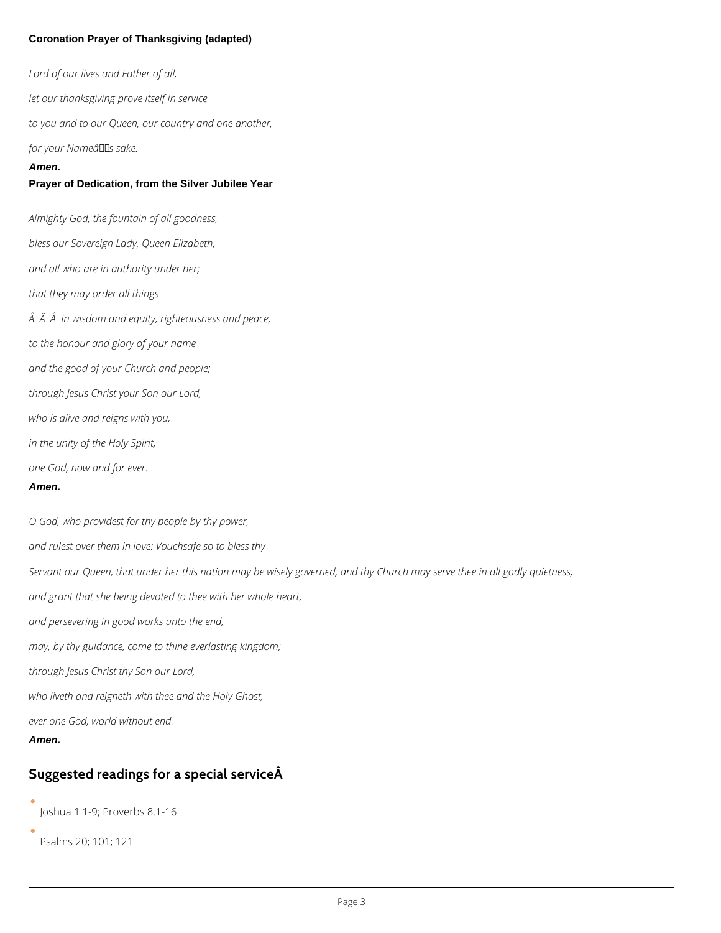### **Coronation Prayer of Thanksgiving (adapted)**

*Lord of our lives and Father of all, let our thanksgiving prove itself in service to you and to our Queen, our country and one another, for your Nameâ* **ELS** sake. **Amen. Prayer of Dedication, from the Silver Jubilee Year** *Almighty God, the fountain of all goodness, bless our Sovereign Lady, Queen Elizabeth, and all who are in authority under her; that they may order all things in wisdom and equity, righteousness and peace, to the honour and glory of your name and the good of your Church and people; through Jesus Christ your Son our Lord, who is alive and reigns with you, in the unity of the Holy Spirit, one God, now and for ever.* **Amen.** *O God, who providest for thy people by thy power, and rulest over them in love: Vouchsafe so to bless thy Servant our Queen, that under her this nation may be wisely governed, and thy Church may serve thee in all godly quietness; and grant that she being devoted to thee with her whole heart, and persevering in good works unto the end, may, by thy guidance, come to thine everlasting kingdom;*

*through Jesus Christ thy Son our Lord,*

*who liveth and reigneth with thee and the Holy Ghost,*

*ever one God, world without end.*

**Amen.**

## **Suggested readings for a special service**

Joshua 1.1-9; Proverbs 8.1-16

Psalms 20; 101; 121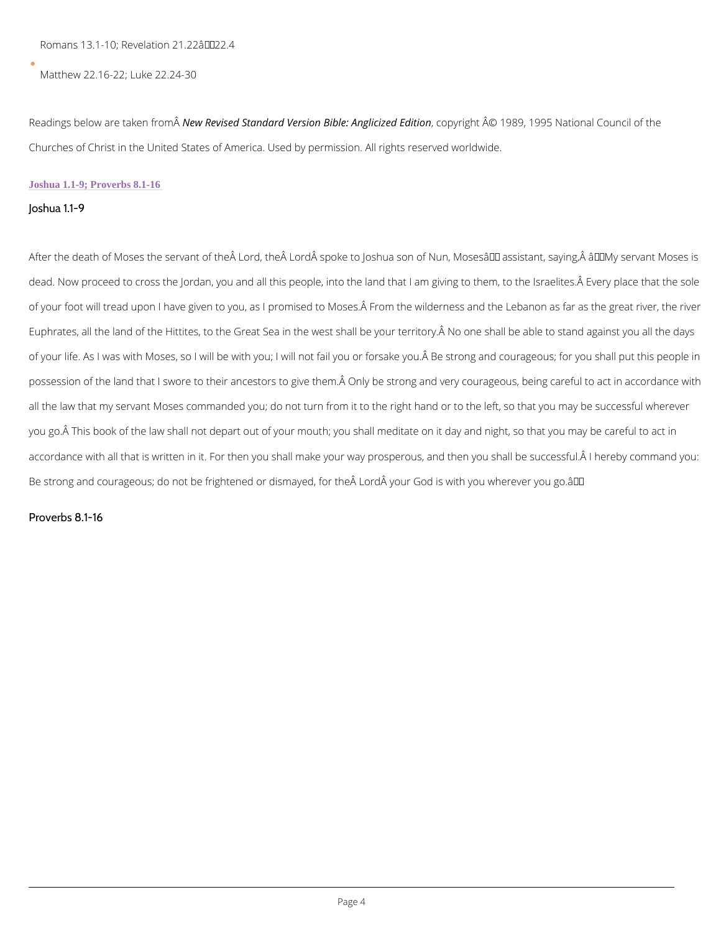Romans 13.1-10; Revelation  $21.22\hat{a} \in 22.4$ 

Matthew 22.16-22; Luke 22.24-30

Readings below are the eum Rferom Sandard Version Bibleop Anglichizae Esta Bion 995 National Co Churches of Christ in the United States of America. Used by permission. All rights reserved

#### Joshua 1.1-9; Proverbs 8.1-16

Joshua 1.1-9

After the death of Moses the servant of the Lord, the Lord spoke to Joshua son of Nun, N dead. Now proceed to cross the Jordan, you and all this people, into the land that I am givin of your foot will tread upon I have given to you, as I promised to Moses. From the wilderne Euphrates, all the land of the Hittites, to the Great Sea in the west shall be your territory.  $\hat{A}$ of your life. As I was with Moses, so I will be with you; I will not fail you or forsake you.Ā B possession of the land that I swore to their ancestors to give them. A Only be strong and very all the law that my servant Moses commanded you; do not turn from it to the right hand or to you go. This book of the law shall not depart out of your mouth; you shall meditate on it da accordance with all that is written in it. For then you shall make your way prosperous, and th Be strong and courageous; do not be frightened or dismayed, for the  $\rm \AA$  Lord  $\rm \AA$  your God is with

Proverbs 8.1-16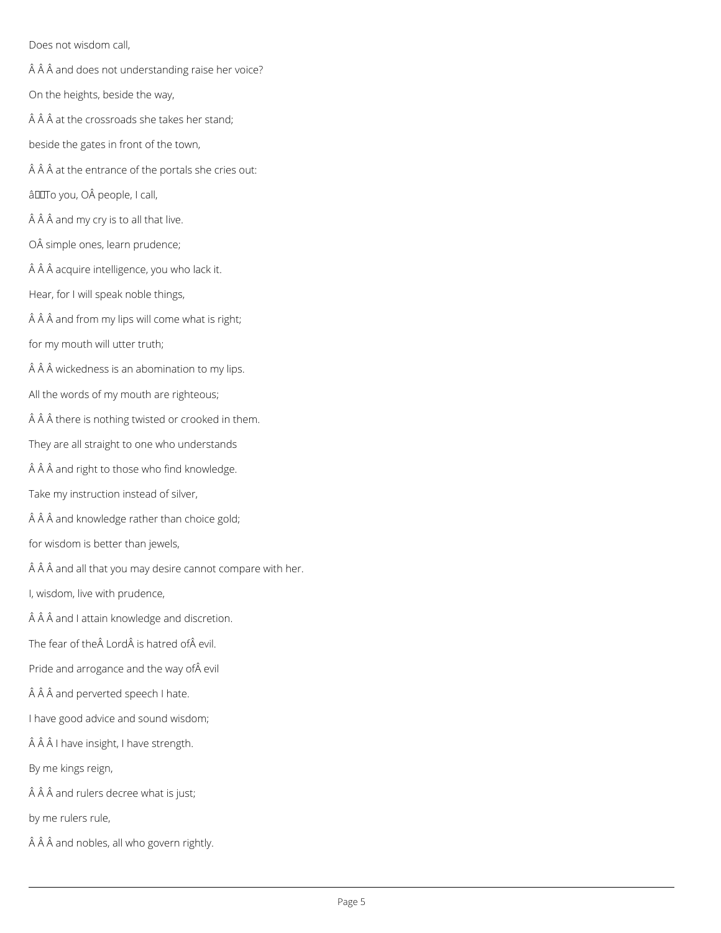Does not wisdom call,

- $\hat{A}$   $\hat{A}$   $\hat{A}$  and does not understanding raise her voice?
- On the heights, beside the way,
- $\hat{A}$   $\hat{A}$   $\hat{A}$  at the crossroads she takes her stand;
- beside the gates in front of the town,
- $\hat{A}$   $\hat{A}$   $\hat{A}$  at the entrance of the portals she cries out:
- âDOTo you, OÂ people, I call,
- $\hat{A}$   $\hat{A}$   $\hat{A}$  and my cry is to all that live.
- OÂ simple ones, learn prudence;
- Â Â acquire intelligence, you who lack it.
- Hear, for I will speak noble things,
- $\hat{A}$   $\hat{A}$   $\hat{A}$  and from my lips will come what is right;
- for my mouth will utter truth;
- $\hat{A}$   $\hat{A}$   $\hat{A}$  wickedness is an abomination to my lips.
- All the words of my mouth are righteous;
- $\hat{A}$   $\hat{A}$   $\hat{A}$  there is nothing twisted or crooked in them.
- They are all straight to one who understands
- Â Â and right to those who find knowledge.
- Take my instruction instead of silver,
- $\hat{A}$   $\hat{A}$   $\hat{A}$  and knowledge rather than choice gold;
- for wisdom is better than jewels,
- $\hat{A}$   $\hat{A}$   $\hat{A}$  and all that you may desire cannot compare with her.
- I, wisdom, live with prudence,
- $\hat{A}$   $\hat{A}$   $\hat{A}$  and I attain knowledge and discretion.
- The fear of the Lord is hatred of evil.
- Pride and arrogance and the way of evil
- Â Â and perverted speech I hate.

I have good advice and sound wisdom;

ÂÂÂ I have insight, I have strength.

By me kings reign,

 $\hat{A}$   $\hat{A}$   $\hat{A}$  and rulers decree what is just;

by me rulers rule,

 $\hat{A}$   $\hat{A}$   $\hat{A}$  and nobles, all who govern rightly.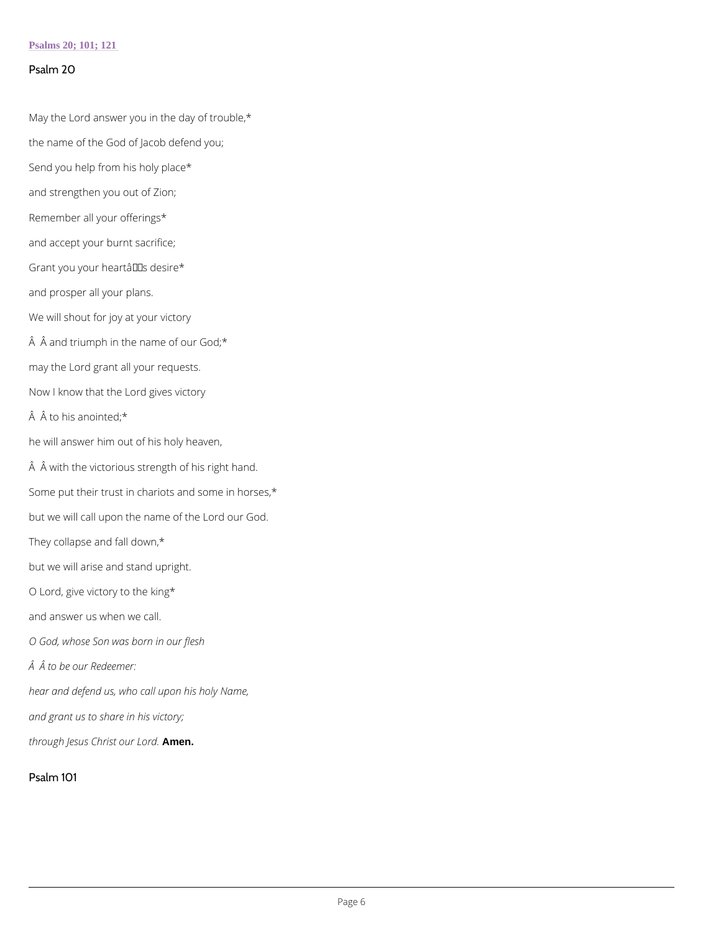#### Psalms 20; 101; 121

May the Lord answer you in the day of trouble,\* the name of the God of Jacob defend you; Send you help from his holy place\* and strengthen you out of Zion; Remember all your offerings\* and accept your burnt sacrifice; Grant you your hearta $\epsilon$ <sup>TM</sup> s desire<sup>\*</sup> and prosper all your plans. We will shout for joy at your victory  $\hat{A}$   $\hat{A}$  and triumph in the name of our God;  $*$ may the Lord grant all your requests. Now I know that the Lord gives victory  $\hat{A}$   $\hat{A}$  to his anointed;  $*$ he will answer him out of his holy heaven,  $\hat{A}$   $\hat{A}$  with the victorious strength of his right hand. Some put their trust in chariots and some in horses,\* but we will call upon the name of the Lord our God. They collapse and fall down,\* but we will arise and stand upright. O Lord, give victory to the king\* and answer us when we call. O God, whose Son was born in our flesh  $\hat{A}$   $\hat{A}$  to be our Redeemer:

#### Psalm 20

hear and defend us, who call upon his holy Name,

and grant us to share in his victory;

through Jesus ChrAmsenour Lord.

Psalm 101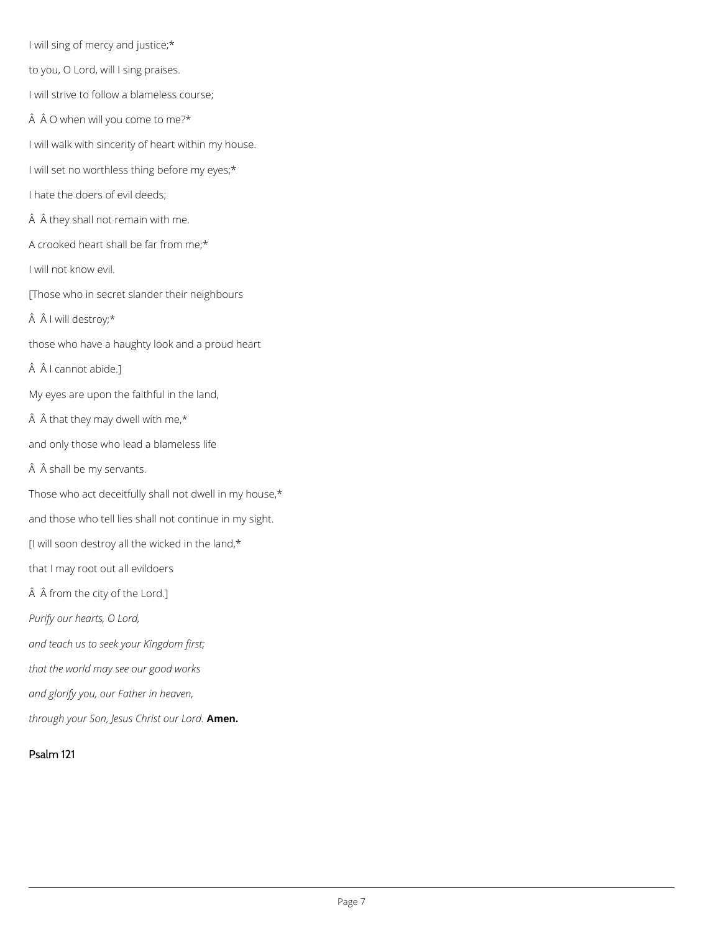I will sing of mercy and justice;\* to you, O Lord, will I sing praises. I will strive to follow a blameless course;  $\hat{A}$   $\hat{A}$  O when will you come to me?\* I will walk with sincerity of heart within my house. I will set no worthless thing before my eyes;\* I hate the doers of evil deeds; A A they shall not remain with me. A crooked heart shall be far from me;\* I will not know evil. [Those who in secret slander their neighbours  $\hat{A}$   $\hat{A}$  I will destroy;\* those who have a haughty look and a proud heart  $\hat{A}$   $\hat{A}$  I cannot abide.] My eyes are upon the faithful in the land,  $\hat{A}$   $\hat{A}$  that they may dwell with me,\* and only those who lead a blameless life  $\hat{A}$   $\hat{A}$  shall be my servants. Those who act deceitfully shall not dwell in my house,\* and those who tell lies shall not continue in my sight. [I will soon destroy all the wicked in the land,\* that I may root out all evildoers Â from the city of the Lord.] *Purify our hearts, O Lord, and teach us to seek your Kingdom first; that the world may see our good works*

*and glorify you, our Father in heaven,*

*through your Son, Jesus Christ our Lord.* **Amen.**

Psalm 121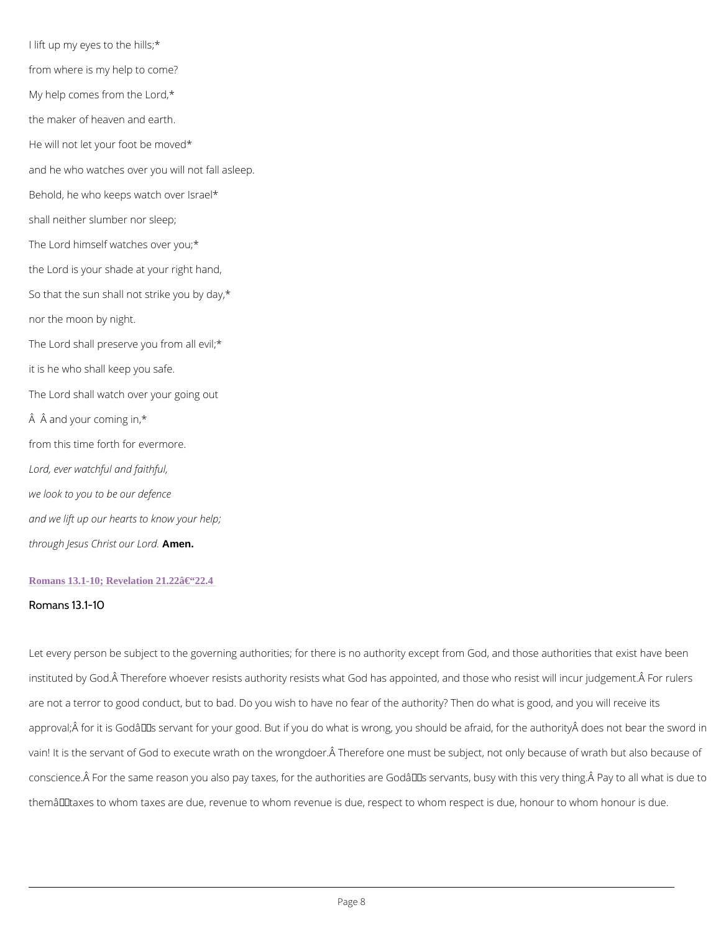I lift up my eyes to the hills;\* from where is my help to come? My help comes from the Lord,\* the maker of heaven and earth. He will not let your foot be moved\* and he who watches over you will not fall asleep. Behold, he who keeps watch over Israel\* shall neither slumber nor sleep; The Lord himself watches over you;\* the Lord is your shade at your right hand, So that the sun shall not strike you by day,\* nor the moon by night. The Lord shall preserve you from all evil;\* it is he who shall keep you safe. The Lord shall watch over your going out  $\AA$   $\AA$  and your coming in,  $*$ from this time forth for evermore. Lord, ever watchful and faithful, we look to you to be our defence and we lift up our hearts to know your help; through Jesus Chramstenour Lord.

#### Romans 13.1-10; Revelation  $21.22\hat{a} \in 22.4$

#### Romans 13.1-10

Let every person be subject to the governing authorities; for there is no authority except fro instituted by God. A Therefore whoever resists authority resists what God has appointed, and

are not a terror to good conduct, but to bad. Do you wish to have no fear of the authority? T approval; for it is God's servant for your good. But if you do what is wrong, you should vain! It is the servant of God to execute wrath on the wrongdoer. A Therefore one must be su conscience. $\hat{\mathsf{A}}$  For the same reason you also pay taxes, for the authorities are Godâ $\boldsymbol{\epsilon}^{\intercal\mathsf{M}}$ s serva themâ $\epsilon$ "taxes to whom taxes are due, revenue to whom revenue is due, respect to whom resp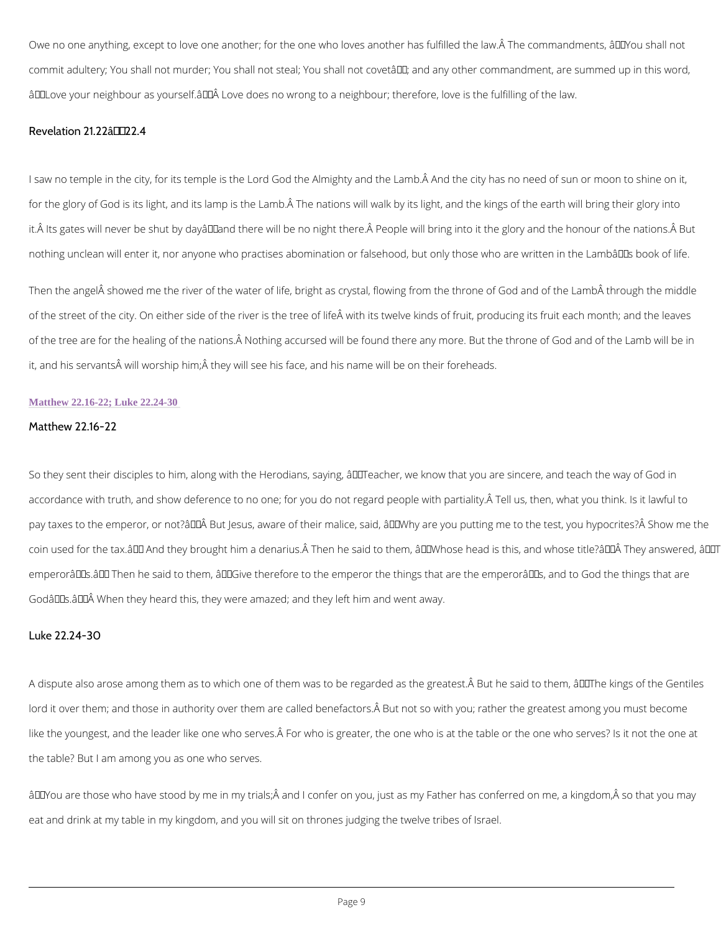Owe no one anything, except to love one another; for the one who loves another has fulfilled commit adultery; You shall not murder; You shall not steal; You shall not covet'; and any â€~Love your neighbour as yourself.' Love does no wrong to a neighbour; therefore, love

Revelation  $21.22$   $\hat{a} \in 22.4$ 

I saw no temple in the city, for its temple is the Lord God the Almighty and the Lamb.Å And t for the glory of God is its light, and its lamp is the Lamb. A The nations will walk by its light it. A Its gates will never be shut by dayâ $\in$  and there will be no night there. A People will bring nothing unclean will enter it, nor anyone who practises abomination or falsehood, but only th

Then the angel showed me the river of the water of life, bright as crystal, flowing from the of the street of the city. On either side of the river is the tree of life with its twelve kinds of the tree are for the healing of the nations. A Nothing accursed will be found there any mor it, and his servants $\hat{\mathsf{A}}$  will worship him; $\hat{\mathsf{A}}$  they will see his face, and his name will be on their

lord it over them; and those in authority over them are called benefactors.Å But not so with y like the youngest, and the leader like one who serves. A For who is greater, the one who is a the table? But I am among you as one who serves.

 $\mathbf{\hat{a}} \in \tilde{~}$  You are those who have stood by me in my trials; $\mathbf{\hat{A}}$  and I confer on you, just as my Father

eat and drink at my table in my kingdom, and you will sit on thrones judging the twelve tribe

#### Matthew 22.16-22; Luke 22.24-30

Matthew 22.16-22

So they sent their disciples to him, along with the Herodians, saying,  $\hat{a} \in \tilde{a}$  Teacher, we know t accordance with truth, and show deference to no one; for you do not regard people with parti pay taxes to the emperor, or not?' But Jesus, aware of their malice, said, â€~Why are y coin used for the tax.å $\in$ ™ And they brought him a denarius.Å Then he said to them, â $\in$  "Whos emperorâ $\in$ <sup>TM</sup> s.â $\in$ <sup>TM</sup> Then he said to them, â $\in$ "Give therefore to the emperor the things that ar Godâ $\in$ ™s.â $\in$ ™Â When they heard this, they were amazed; and they left him and went away.

#### Luke 22.24-30

A dispute also arose among them as to which one of them was to be regarded as the greatest